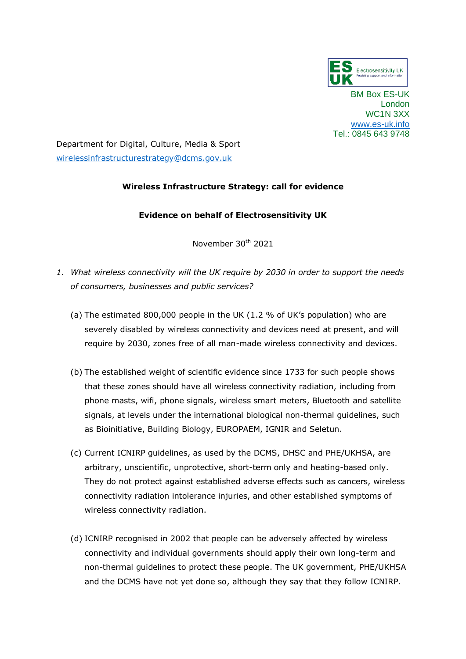

BM Box ES-UK London WC1N 3XX [www.es-uk.info](http://www.es-uk.info/) Tel.: 0845 643 9748

Department for Digital, Culture, Media & Sport [wirelessinfrastructurestrategy@dcms.gov.uk](mailto:wirelessinfrastructurestrategy@dcms.gov.uk)

## **Wireless Infrastructure Strategy: call for evidence**

## **Evidence on behalf of Electrosensitivity UK**

November 30th 2021

- *1. What wireless connectivity will the UK require by 2030 in order to support the needs of consumers, businesses and public services?*
	- (a) The estimated 800,000 people in the UK (1.2 % of UK's population) who are severely disabled by wireless connectivity and devices need at present, and will require by 2030, zones free of all man-made wireless connectivity and devices.
	- (b) The established weight of scientific evidence since 1733 for such people shows that these zones should have all wireless connectivity radiation, including from phone masts, wifi, phone signals, wireless smart meters, Bluetooth and satellite signals, at levels under the international biological non-thermal guidelines, such as Bioinitiative, Building Biology, EUROPAEM, IGNIR and Seletun.
	- (c) Current ICNIRP guidelines, as used by the DCMS, DHSC and PHE/UKHSA, are arbitrary, unscientific, unprotective, short-term only and heating-based only. They do not protect against established adverse effects such as cancers, wireless connectivity radiation intolerance injuries, and other established symptoms of wireless connectivity radiation.
	- (d) ICNIRP recognised in 2002 that people can be adversely affected by wireless connectivity and individual governments should apply their own long-term and non-thermal guidelines to protect these people. The UK government, PHE/UKHSA and the DCMS have not yet done so, although they say that they follow ICNIRP.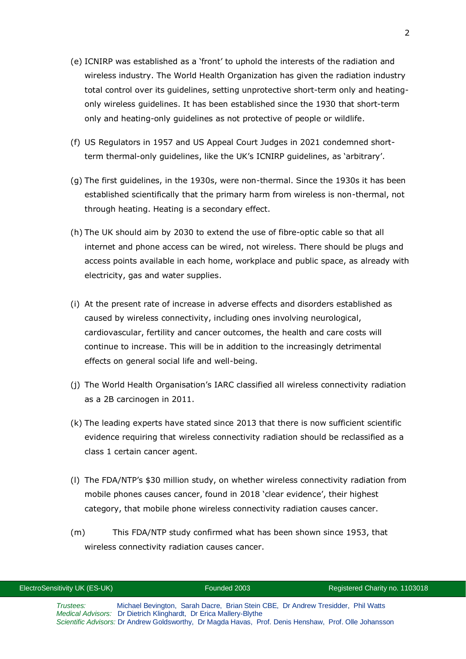- (e) ICNIRP was established as a 'front' to uphold the interests of the radiation and wireless industry. The World Health Organization has given the radiation industry total control over its guidelines, setting unprotective short-term only and heatingonly wireless guidelines. It has been established since the 1930 that short-term only and heating-only guidelines as not protective of people or wildlife.
- (f) US Regulators in 1957 and US Appeal Court Judges in 2021 condemned shortterm thermal-only guidelines, like the UK's ICNIRP guidelines, as 'arbitrary'.
- (g) The first guidelines, in the 1930s, were non-thermal. Since the 1930s it has been established scientifically that the primary harm from wireless is non-thermal, not through heating. Heating is a secondary effect.
- (h) The UK should aim by 2030 to extend the use of fibre-optic cable so that all internet and phone access can be wired, not wireless. There should be plugs and access points available in each home, workplace and public space, as already with electricity, gas and water supplies.
- (i) At the present rate of increase in adverse effects and disorders established as caused by wireless connectivity, including ones involving neurological, cardiovascular, fertility and cancer outcomes, the health and care costs will continue to increase. This will be in addition to the increasingly detrimental effects on general social life and well-being.
- (j) The World Health Organisation's IARC classified all wireless connectivity radiation as a 2B carcinogen in 2011.
- (k) The leading experts have stated since 2013 that there is now sufficient scientific evidence requiring that wireless connectivity radiation should be reclassified as a class 1 certain cancer agent.
- (l) The FDA/NTP's \$30 million study, on whether wireless connectivity radiation from mobile phones causes cancer, found in 2018 'clear evidence', their highest category, that mobile phone wireless connectivity radiation causes cancer.
- (m) This FDA/NTP study confirmed what has been shown since 1953, that wireless connectivity radiation causes cancer.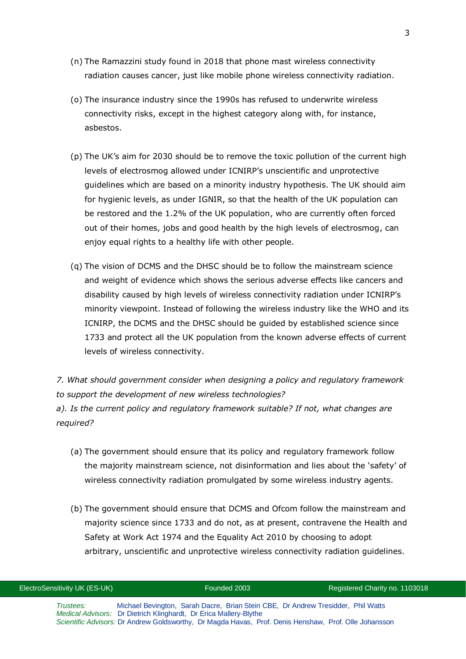- (n) The Ramazzini study found in 2018 that phone mast wireless connectivity radiation causes cancer, just like mobile phone wireless connectivity radiation.
- (o) The insurance industry since the 1990s has refused to underwrite wireless connectivity risks, except in the highest category along with, for instance, asbestos.
- (p) The UK's aim for 2030 should be to remove the toxic pollution of the current high levels of electrosmog allowed under ICNIRP's unscientific and unprotective guidelines which are based on a minority industry hypothesis. The UK should aim for hygienic levels, as under IGNIR, so that the health of the UK population can be restored and the 1.2% of the UK population, who are currently often forced out of their homes, jobs and good health by the high levels of electrosmog, can enjoy equal rights to a healthy life with other people.
- (q) The vision of DCMS and the DHSC should be to follow the mainstream science and weight of evidence which shows the serious adverse effects like cancers and disability caused by high levels of wireless connectivity radiation under ICNIRP's minority viewpoint. Instead of following the wireless industry like the WHO and its ICNIRP, the DCMS and the DHSC should be guided by established science since 1733 and protect all the UK population from the known adverse effects of current levels of wireless connectivity.

*7. What should government consider when designing a policy and regulatory framework to support the development of new wireless technologies?*

*a). Is the current policy and regulatory framework suitable? If not, what changes are required?*

- (a) The government should ensure that its policy and regulatory framework follow the majority mainstream science, not disinformation and lies about the 'safety' of wireless connectivity radiation promulgated by some wireless industry agents.
- (b) The government should ensure that DCMS and Ofcom follow the mainstream and majority science since 1733 and do not, as at present, contravene the Health and Safety at Work Act 1974 and the Equality Act 2010 by choosing to adopt arbitrary, unscientific and unprotective wireless connectivity radiation guidelines.

ElectroSensitivity UK (ES-UK) From the Counded 2003 Registered Charity no. 1103018